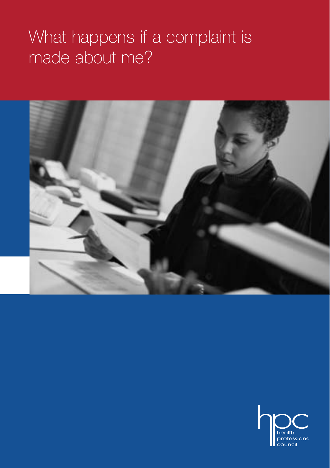# What happens if a complaint is made about me?



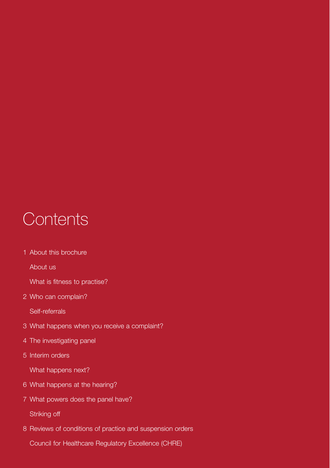# **Contents**

1 About this brochure

About us

- What is fitness to practise?
- 2 Who can complain?

Self-referrals

- 3 What happens when you receive a complaint?
- 4 The investigating panel
- 5 Interim orders

What happens next?

- 6 What happens at the hearing?
- 7 What powers does the panel have?

Striking off

8 Reviews of conditions of practice and suspension orders

Council for Healthcare Regulatory Excellence (CHRE)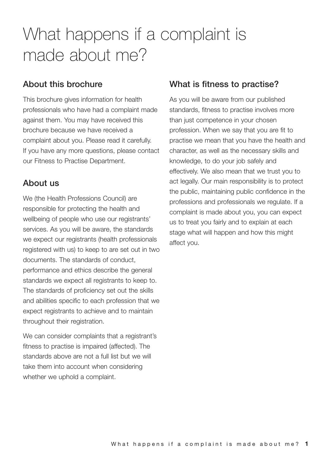# What happens if a complaint is made about me?

#### **About this brochure**

This brochure gives information for health professionals who have had a complaint made against them. You may have received this brochure because we have received a complaint about you. Please read it carefully. If you have any more questions, please contact our Fitness to Practise Department.

#### **About us**

We (the Health Professions Council) are responsible for protecting the health and wellbeing of people who use our registrants' services. As you will be aware, the standards we expect our registrants (health professionals registered with us) to keep to are set out in two documents. The standards of conduct, performance and ethics describe the general standards we expect all registrants to keep to. The standards of proficiency set out the skills and abilities specific to each profession that we expect registrants to achieve and to maintain throughout their registration.

We can consider complaints that a registrant's fitness to practise is impaired (affected). The standards above are not a full list but we will take them into account when considering whether we uphold a complaint.

#### **What is fitness to practise?**

As you will be aware from our published standards, fitness to practise involves more than just competence in your chosen profession. When we say that you are fit to practise we mean that you have the health and character, as well as the necessary skills and knowledge, to do your job safely and effectively. We also mean that we trust you to act legally. Our main responsibility is to protect the public, maintaining public confidence in the professions and professionals we regulate. If a complaint is made about you, you can expect us to treat you fairly and to explain at each stage what will happen and how this might affect you.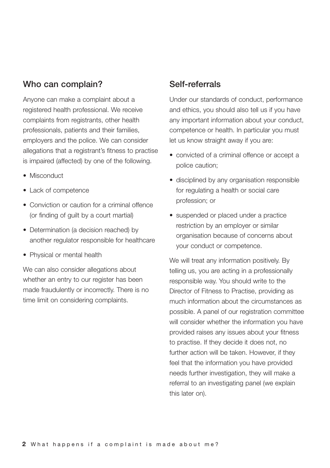#### **Who can complain?**

Anyone can make a complaint about a registered health professional. We receive complaints from registrants, other health professionals, patients and their families, employers and the police. We can consider allegations that a registrant's fitness to practise is impaired (affected) by one of the following.

- Misconduct
- Lack of competence
- Conviction or caution for a criminal offence (or finding of guilt by a court martial)
- Determination (a decision reached) by another regulator responsible for healthcare
- Physical or mental health

We can also consider allegations about whether an entry to our register has been made fraudulently or incorrectly. There is no time limit on considering complaints.

#### **Self-referrals**

Under our standards of conduct, performance and ethics, you should also tell us if you have any important information about your conduct, competence or health. In particular you must let us know straight away if you are:

- convicted of a criminal offence or accept a police caution;
- disciplined by any organisation responsible for regulating a health or social care profession; or
- suspended or placed under a practice restriction by an employer or similar organisation because of concerns about your conduct or competence.

We will treat any information positively. By telling us, you are acting in a professionally responsible way. You should write to the Director of Fitness to Practise, providing as much information about the circumstances as possible. A panel of our registration committee will consider whether the information you have provided raises any issues about your fitness to practise. If they decide it does not, no further action will be taken. However, if they feel that the information you have provided needs further investigation, they will make a referral to an investigating panel (we explain this later on).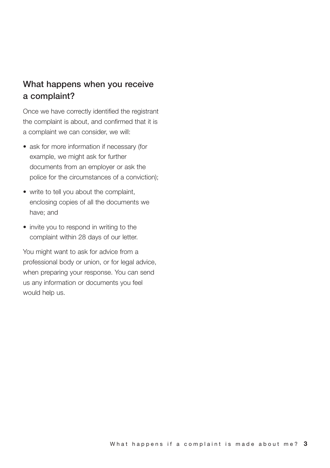### **What happens when you receive a complaint?**

Once we have correctly identified the registrant the complaint is about, and confirmed that it is a complaint we can consider, we will:

- ask for more information if necessary (for example, we might ask for further documents from an employer or ask the police for the circumstances of a conviction);
- write to tell you about the complaint, enclosing copies of all the documents we have; and
- invite you to respond in writing to the complaint within 28 days of our letter.

You might want to ask for advice from a professional body or union, or for legal advice, when preparing your response. You can send us any information or documents you feel would help us.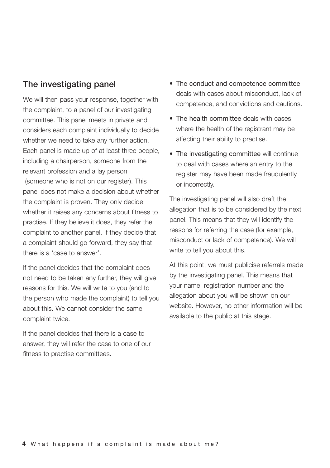#### **The investigating panel**

We will then pass your response, together with the complaint, to a panel of our investigating committee. This panel meets in private and considers each complaint individually to decide whether we need to take any further action. Each panel is made up of at least three people, including a chairperson, someone from the relevant profession and a lay person (someone who is not on our register). This panel does not make a decision about whether the complaint is proven. They only decide whether it raises any concerns about fitness to practise. If they believe it does, they refer the complaint to another panel. If they decide that a complaint should go forward, they say that there is a 'case to answer'.

If the panel decides that the complaint does not need to be taken any further, they will give reasons for this. We will write to you (and to the person who made the complaint) to tell you about this. We cannot consider the same complaint twice.

If the panel decides that there is a case to answer, they will refer the case to one of our fitness to practise committees.

- The conduct and competence committee deals with cases about misconduct, lack of competence, and convictions and cautions.
- The health committee deals with cases where the health of the registrant may be affecting their ability to practise.
- The investigating committee will continue to deal with cases where an entry to the register may have been made fraudulently or incorrectly.

The investigating panel will also draft the allegation that is to be considered by the next panel. This means that they will identify the reasons for referring the case (for example, misconduct or lack of competence). We will write to tell you about this.

At this point, we must publicise referrals made by the investigating panel. This means that your name, registration number and the allegation about you will be shown on our website. However, no other information will be available to the public at this stage.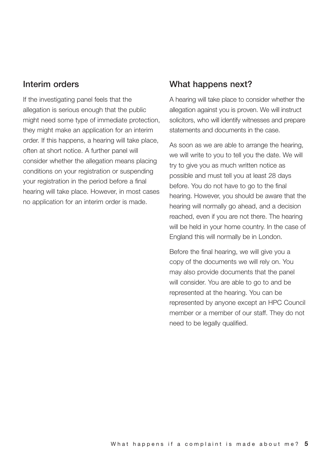#### **Interim orders**

If the investigating panel feels that the allegation is serious enough that the public might need some type of immediate protection, they might make an application for an interim order. If this happens, a hearing will take place, often at short notice. A further panel will consider whether the allegation means placing conditions on your registration or suspending your registration in the period before a final hearing will take place. However, in most cases no application for an interim order is made.

#### **What happens next?**

A hearing will take place to consider whether the allegation against you is proven. We will instruct solicitors, who will identify witnesses and prepare statements and documents in the case.

As soon as we are able to arrange the hearing. we will write to you to tell you the date. We will try to give you as much written notice as possible and must tell you at least 28 days before. You do not have to go to the final hearing. However, you should be aware that the hearing will normally go ahead, and a decision reached, even if you are not there. The hearing will be held in your home country. In the case of England this will normally be in London.

Before the final hearing, we will give you a copy of the documents we will rely on. You may also provide documents that the panel will consider. You are able to go to and be represented at the hearing. You can be represented by anyone except an HPC Council member or a member of our staff. They do not need to be legally qualified.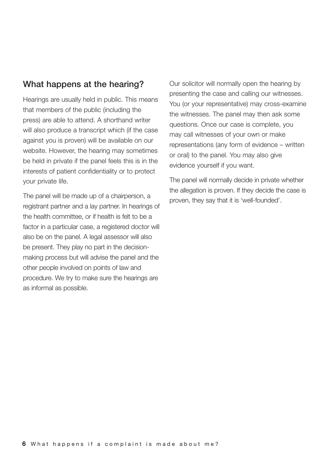#### **What happens at the hearing?**

Hearings are usually held in public. This means that members of the public (including the press) are able to attend. A shorthand writer will also produce a transcript which (if the case against you is proven) will be available on our website. However, the hearing may sometimes be held in private if the panel feels this is in the interests of patient confidentiality or to protect your private life.

The panel will be made up of a chairperson, a registrant partner and a lay partner. In hearings of the health committee, or if health is felt to be a factor in a particular case, a registered doctor will also be on the panel. A legal assessor will also be present. They play no part in the decisionmaking process but will advise the panel and the other people involved on points of law and procedure. We try to make sure the hearings are as informal as possible.

Our solicitor will normally open the hearing by presenting the case and calling our witnesses. You (or your representative) may cross-examine the witnesses. The panel may then ask some questions. Once our case is complete, you may call witnesses of your own or make representations (any form of evidence – written or oral) to the panel. You may also give evidence yourself if you want.

The panel will normally decide in private whether the allegation is proven. If they decide the case is proven, they say that it is 'well-founded'.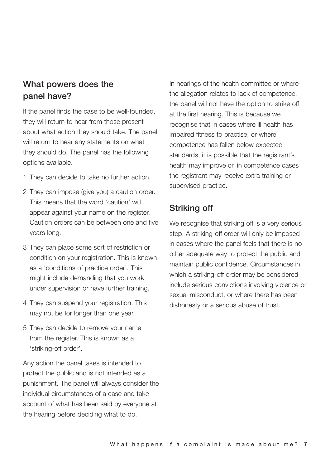# **What powers does the panel have?**

If the panel finds the case to be well-founded, they will return to hear from those present about what action they should take. The panel will return to hear any statements on what they should do. The panel has the following options available.

- 1 They can decide to take no further action.
- 2 They can impose (give you) a caution order. This means that the word 'caution' will appear against your name on the register. Caution orders can be between one and five years long.
- 3 They can place some sort of restriction or condition on your registration. This is known as a 'conditions of practice order'. This might include demanding that you work under supervision or have further training.
- 4 They can suspend your registration. This may not be for longer than one year.
- 5 They can decide to remove your name from the register. This is known as a 'striking-off order'.

Any action the panel takes is intended to protect the public and is not intended as a punishment. The panel will always consider the individual circumstances of a case and take account of what has been said by everyone at the hearing before deciding what to do.

In hearings of the health committee or where the allegation relates to lack of competence, the panel will not have the option to strike off at the first hearing. This is because we recognise that in cases where ill health has impaired fitness to practise, or where competence has fallen below expected standards, it is possible that the registrant's health may improve or, in competence cases the registrant may receive extra training or supervised practice.

### **Striking off**

We recognise that striking off is a very serious step. A striking-off order will only be imposed in cases where the panel feels that there is no other adequate way to protect the public and maintain public confidence. Circumstances in which a striking-off order may be considered include serious convictions involving violence or sexual misconduct, or where there has been dishonesty or a serious abuse of trust.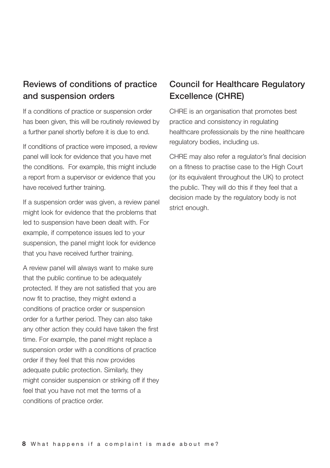# **Reviews of conditions of practice and suspension orders**

If a conditions of practice or suspension order has been given, this will be routinely reviewed by a further panel shortly before it is due to end.

If conditions of practice were imposed, a review panel will look for evidence that you have met the conditions. For example, this might include a report from a supervisor or evidence that you have received further training.

If a suspension order was given, a review panel might look for evidence that the problems that led to suspension have been dealt with. For example, if competence issues led to your suspension, the panel might look for evidence that you have received further training.

A review panel will always want to make sure that the public continue to be adequately protected. If they are not satisfied that you are now fit to practise, they might extend a conditions of practice order or suspension order for a further period. They can also take any other action they could have taken the first time. For example, the panel might replace a suspension order with a conditions of practice order if they feel that this now provides adequate public protection. Similarly, they might consider suspension or striking off if they feel that you have not met the terms of a conditions of practice order.

# **Council for Healthcare Regulatory Excellence (CHRE)**

CHRE is an organisation that promotes best practice and consistency in regulating healthcare professionals by the nine healthcare regulatory bodies, including us.

CHRE may also refer a regulator's final decision on a fitness to practise case to the High Court (or its equivalent throughout the UK) to protect the public. They will do this if they feel that a decision made by the regulatory body is not strict enough.